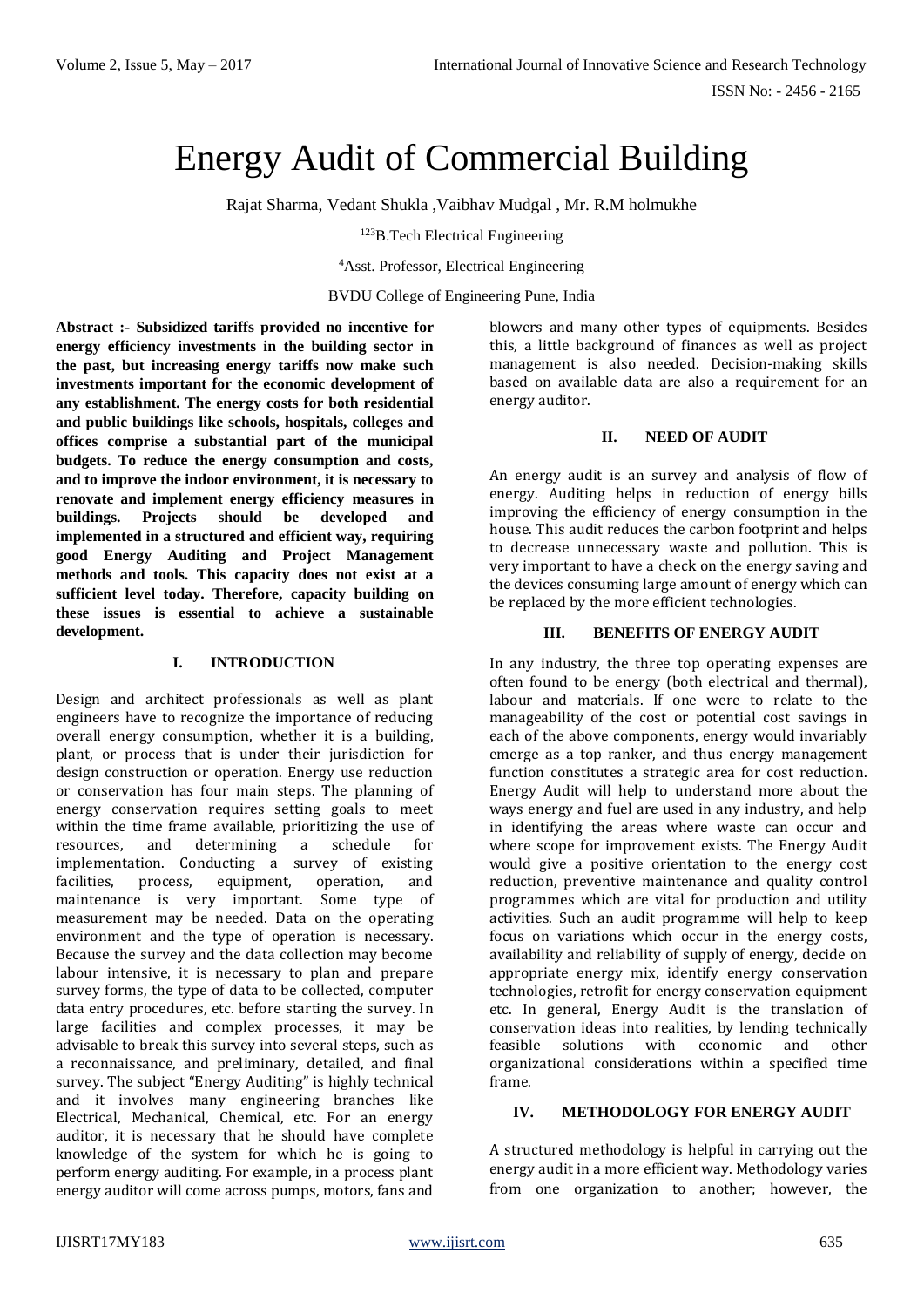ISSN No: - 2456 - 2165

# Energy Audit of Commercial Building

Rajat Sharma, Vedant Shukla ,Vaibhav Mudgal , Mr. R.M holmukhe

<sup>123</sup>B.Tech Electrical Engineering

<sup>4</sup>Asst. Professor, Electrical Engineering

BVDU College of Engineering Pune, India

**Abstract :- Subsidized tariffs provided no incentive for energy efficiency investments in the building sector in the past, but increasing energy tariffs now make such investments important for the economic development of any establishment. The energy costs for both residential and public buildings like schools, hospitals, colleges and offices comprise a substantial part of the municipal budgets. To reduce the energy consumption and costs, and to improve the indoor environment, it is necessary to renovate and implement energy efficiency measures in buildings. Projects should be developed and implemented in a structured and efficient way, requiring good Energy Auditing and Project Management methods and tools. This capacity does not exist at a sufficient level today. Therefore, capacity building on these issues is essential to achieve a sustainable development.**

#### **I. INTRODUCTION**

Design and architect professionals as well as plant engineers have to recognize the importance of reducing overall energy consumption, whether it is a building, plant, or process that is under their jurisdiction for design construction or operation. Energy use reduction or conservation has four main steps. The planning of energy conservation requires setting goals to meet within the time frame available, prioritizing the use of resources, and determining a schedule for implementation. Conducting a survey of existing facilities, process, equipment, operation, and maintenance is very important. Some type of measurement may be needed. Data on the operating environment and the type of operation is necessary. Because the survey and the data collection may become labour intensive, it is necessary to plan and prepare survey forms, the type of data to be collected, computer data entry procedures, etc. before starting the survey. In large facilities and complex processes, it may be advisable to break this survey into several steps, such as a reconnaissance, and preliminary, detailed, and final survey. The subject "Energy Auditing" is highly technical and it involves many engineering branches like Electrical, Mechanical, Chemical, etc. For an energy auditor, it is necessary that he should have complete knowledge of the system for which he is going to perform energy auditing. For example, in a process plant energy auditor will come across pumps, motors, fans and

blowers and many other types of equipments. Besides this, a little background of finances as well as project management is also needed. Decision-making skills based on available data are also a requirement for an energy auditor.

## **II. NEED OF AUDIT**

An energy audit is an survey and analysis of flow of energy. Auditing helps in reduction of energy bills improving the efficiency of energy consumption in the house. This audit reduces the carbon footprint and helps to decrease unnecessary waste and pollution. This is very important to have a check on the energy saving and the devices consuming large amount of energy which can be replaced by the more efficient technologies.

## **III. BENEFITS OF ENERGY AUDIT**

In any industry, the three top operating expenses are often found to be energy (both electrical and thermal), labour and materials. If one were to relate to the manageability of the cost or potential cost savings in each of the above components, energy would invariably emerge as a top ranker, and thus energy management function constitutes a strategic area for cost reduction. Energy Audit will help to understand more about the ways energy and fuel are used in any industry, and help in identifying the areas where waste can occur and where scope for improvement exists. The Energy Audit would give a positive orientation to the energy cost reduction, preventive maintenance and quality control programmes which are vital for production and utility activities. Such an audit programme will help to keep focus on variations which occur in the energy costs, availability and reliability of supply of energy, decide on appropriate energy mix, identify energy conservation technologies, retrofit for energy conservation equipment etc. In general, Energy Audit is the translation of conservation ideas into realities, by lending technically feasible solutions with economic and other organizational considerations within a specified time frame.

## **IV. METHODOLOGY FOR ENERGY AUDIT**

A structured methodology is helpful in carrying out the energy audit in a more efficient way. Methodology varies from one organization to another; however, the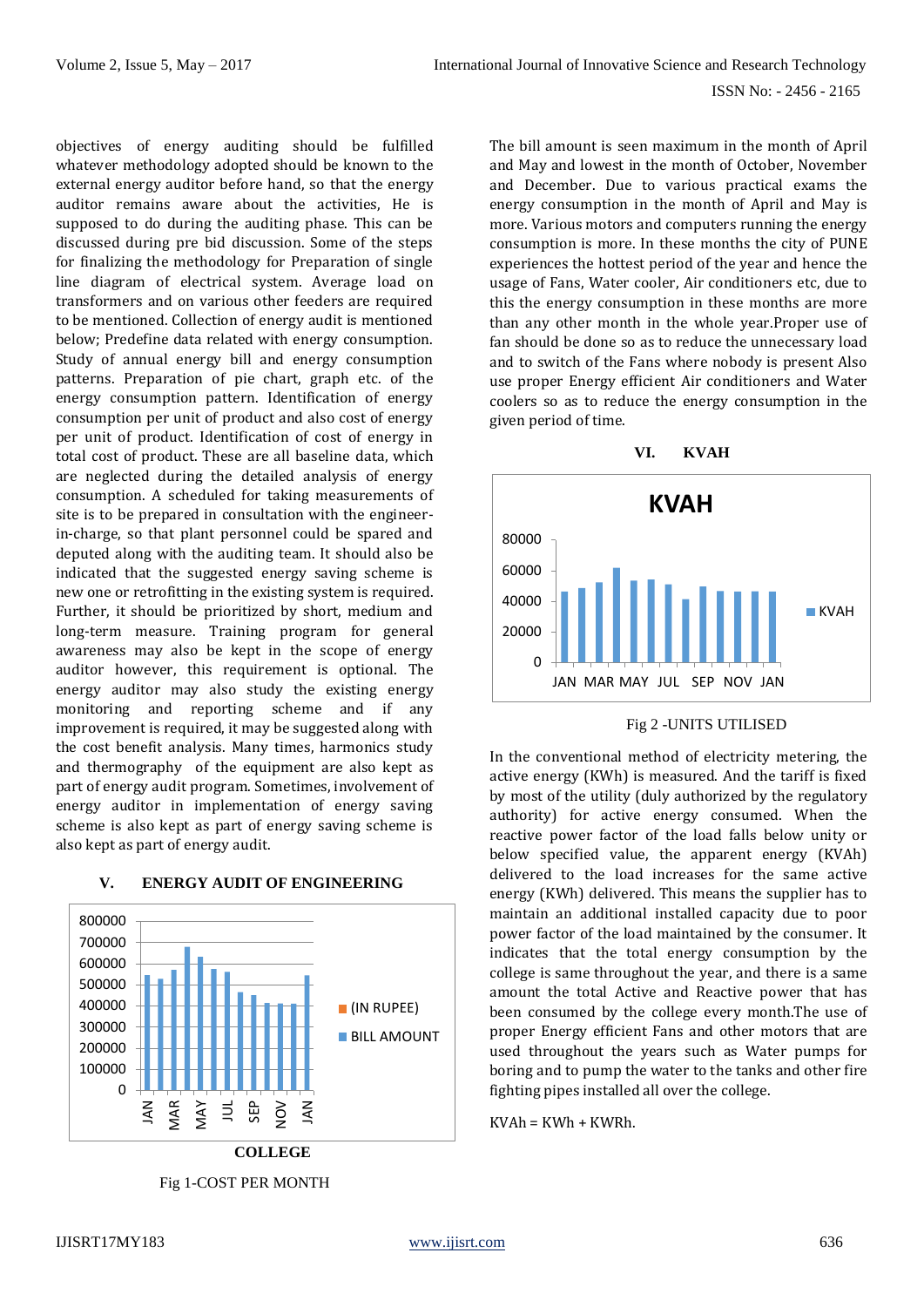objectives of energy auditing should be fulfilled whatever methodology adopted should be known to the external energy auditor before hand, so that the energy auditor remains aware about the activities, He is supposed to do during the auditing phase. This can be discussed during pre bid discussion. Some of the steps for finalizing the methodology for Preparation of single line diagram of electrical system. Average load on transformers and on various other feeders are required to be mentioned. Collection of energy audit is mentioned below; Predefine data related with energy consumption. Study of annual energy bill and energy consumption patterns. Preparation of pie chart, graph etc. of the energy consumption pattern. Identification of energy consumption per unit of product and also cost of energy per unit of product. Identification of cost of energy in total cost of product. These are all baseline data, which are neglected during the detailed analysis of energy consumption. A scheduled for taking measurements of site is to be prepared in consultation with the engineerin-charge, so that plant personnel could be spared and deputed along with the auditing team. It should also be indicated that the suggested energy saving scheme is new one or retrofitting in the existing system is required. Further, it should be prioritized by short, medium and long-term measure. Training program for general awareness may also be kept in the scope of energy auditor however, this requirement is optional. The energy auditor may also study the existing energy monitoring and reporting scheme and if any improvement is required, it may be suggested along with the cost benefit analysis. Many times, harmonics study and thermography of the equipment are also kept as part of energy audit program. Sometimes, involvement of energy auditor in implementation of energy saving scheme is also kept as part of energy saving scheme is also kept as part of energy audit.



## **V. ENERGY AUDIT OF ENGINEERING**

The bill amount is seen maximum in the month of April and May and lowest in the month of October, November and December. Due to various practical exams the energy consumption in the month of April and May is more. Various motors and computers running the energy consumption is more. In these months the city of PUNE experiences the hottest period of the year and hence the usage of Fans, Water cooler, Air conditioners etc, due to this the energy consumption in these months are more than any other month in the whole year.Proper use of fan should be done so as to reduce the unnecessary load and to switch of the Fans where nobody is present Also use proper Energy efficient Air conditioners and Water coolers so as to reduce the energy consumption in the given period of time.



Fig 2 -UNITS UTILISED

In the conventional method of electricity metering, the active energy (KWh) is measured. And the tariff is fixed by most of the utility (duly authorized by the regulatory authority) for active energy consumed. When the reactive power factor of the load falls below unity or below specified value, the apparent energy (KVAh) delivered to the load increases for the same active energy (KWh) delivered. This means the supplier has to maintain an additional installed capacity due to poor power factor of the load maintained by the consumer. It indicates that the total energy consumption by the college is same throughout the year, and there is a same amount the total Active and Reactive power that has been consumed by the college every month.The use of proper Energy efficient Fans and other motors that are used throughout the years such as Water pumps for boring and to pump the water to the tanks and other fire fighting pipes installed all over the college.

 $KVAh = KWh + KWRh.$ 

Fig 1-COST PER MONTH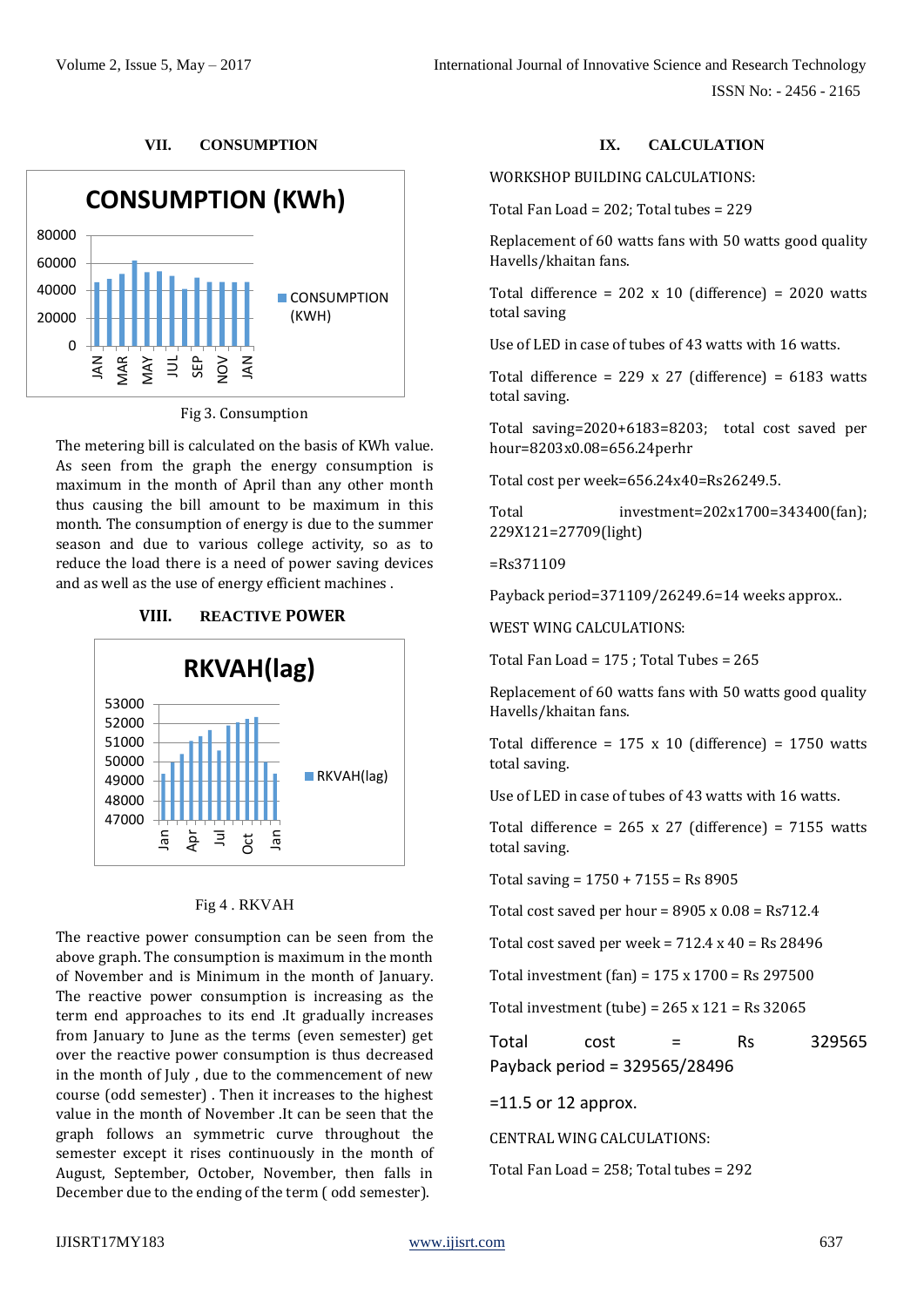## **VII. CONSUMPTION**



Fig 3. Consumption

The metering bill is calculated on the basis of KWh value. As seen from the graph the energy consumption is maximum in the month of April than any other month thus causing the bill amount to be maximum in this month. The consumption of energy is due to the summer season and due to various college activity, so as to reduce the load there is a need of power saving devices and as well as the use of energy efficient machines .



# Fig 4 . RKVAH

The reactive power consumption can be seen from the above graph. The consumption is maximum in the month of November and is Minimum in the month of January. The reactive power consumption is increasing as the term end approaches to its end .It gradually increases from January to June as the terms (even semester) get over the reactive power consumption is thus decreased in the month of July , due to the commencement of new course (odd semester) . Then it increases to the highest value in the month of November .It can be seen that the graph follows an symmetric curve throughout the semester except it rises continuously in the month of August, September, October, November, then falls in December due to the ending of the term ( odd semester).

# **IX. CALCULATION**

WORKSHOP BUILDING CALCULATIONS:

Total Fan Load = 202; Total tubes = 229

Replacement of 60 watts fans with 50 watts good quality Havells/khaitan fans.

Total difference =  $202 \times 10$  (difference) =  $2020$  watts total saving

Use of LED in case of tubes of 43 watts with 16 watts.

Total difference =  $229 \times 27$  (difference) =  $6183$  watts total saving.

Total saving=2020+6183=8203; total cost saved per hour=8203x0.08=656.24perhr

Total cost per week=656.24x40=Rs26249.5.

Total investment=202x1700=343400(fan); 229X121=27709(light)

=Rs371109

Payback period=371109/26249.6=14 weeks approx..

WEST WING CALCULATIONS:

Total Fan Load = 175 ; Total Tubes = 265

Replacement of 60 watts fans with 50 watts good quality Havells/khaitan fans.

Total difference =  $175 \times 10$  (difference) =  $1750$  watts total saving.

Use of LED in case of tubes of 43 watts with 16 watts.

Total difference =  $265 \times 27$  (difference) =  $7155$  watts total saving.

Total saving = 1750 + 7155 = Rs 8905

Total cost saved per hour =  $8905 \times 0.08$  = Rs712.4

Total cost saved per week =  $712.4 \times 40 =$  Rs 28496

Total investment (fan) = 175 x 1700 = Rs 297500

Total investment (tube) =  $265 \times 121 =$  Rs 32065

 $Total \qquad cost = \qquad Rs \qquad 329565$ Payback period = 329565/28496

=11.5 or 12 approx.

CENTRAL WING CALCULATIONS:

Total Fan Load = 258; Total tubes = 292